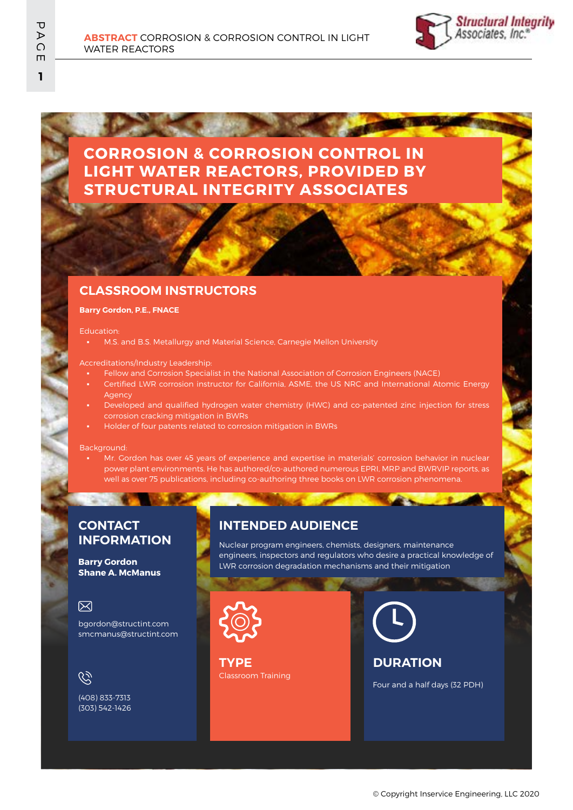

# **CORROSION & CORROSION CONTROL IN LIGHT WATER REACTORS, PROVIDED BY STRUCTURAL INTEGRITY ASSOCIATES**

### **CLASSROOM INSTRUCTORS**

#### **Barry Gordon, P.E., FNACE**

#### Education:

M.S. and B.S. Metallurgy and Material Science, Carnegie Mellon University

#### Accreditations/Industry Leadership:

- Fellow and Corrosion Specialist in the National Association of Corrosion Engineers (NACE)
- Certified LWR corrosion instructor for California, ASME, the US NRC and International Atomic Energy Agency
- Developed and qualified hydrogen water chemistry (HWC) and co-patented zinc injection for stress corrosion cracking mitigation in BWRs
- Holder of four patents related to corrosion mitigation in BWRs

#### Background:

Mr. Gordon has over 45 years of experience and expertise in materials' corrosion behavior in nuclear power plant environments. He has authored/co-authored numerous EPRI, MRP and BWRVIP reports, as well as over 75 publications, including co-authoring three books on LWR corrosion phenomena.

### **CONTACT INFORMATION**

### **Barry Gordon Shane A. McManus**

### 冈

bgordon@structint.com smcmanus@structint.com

## $\mathscr{C}$

(408) 833-7313 (303) 542-1426

## **INTENDED AUDIENCE**

Nuclear program engineers, chemists, designers, maintenance engineers, inspectors and regulators who desire a practical knowledge of LWR corrosion degradation mechanisms and their mitigation



Classroom Training **TYPE**

## **DURATION**

Four and a half days (32 PDH)